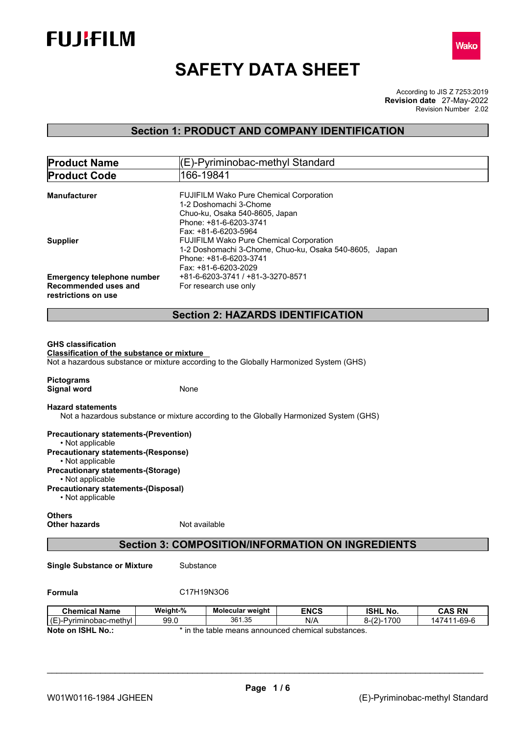



# **SAFETY DATA SHEET**

According to JIS Z 7253:2019 Revision Number 2.02 **Revision date** 27-May-2022

## **Section 1: PRODUCT AND COMPANY IDENTIFICATION**

| <b>Product Name</b>                                                                                                                                                      |                                                                                                                                                                             | (E)-Pyriminobac-methyl Standard                                                                                               |             |                 |               |  |
|--------------------------------------------------------------------------------------------------------------------------------------------------------------------------|-----------------------------------------------------------------------------------------------------------------------------------------------------------------------------|-------------------------------------------------------------------------------------------------------------------------------|-------------|-----------------|---------------|--|
| <b>Product Code</b>                                                                                                                                                      |                                                                                                                                                                             | 166-19841                                                                                                                     |             |                 |               |  |
| Manufacturer                                                                                                                                                             |                                                                                                                                                                             | FUJIFILM Wako Pure Chemical Corporation<br>1-2 Doshomachi 3-Chome<br>Chuo-ku, Osaka 540-8605, Japan<br>Phone: +81-6-6203-3741 |             |                 |               |  |
| <b>Supplier</b>                                                                                                                                                          | Fax: +81-6-6203-5964<br>FUJIFILM Wako Pure Chemical Corporation<br>1-2 Doshomachi 3-Chome, Chuo-ku, Osaka 540-8605, Japan<br>Phone: +81-6-6203-3741<br>Fax: +81-6-6203-2029 |                                                                                                                               |             |                 |               |  |
| <b>Emergency telephone number</b><br>Recommended uses and<br>restrictions on use                                                                                         |                                                                                                                                                                             | +81-6-6203-3741 / +81-3-3270-8571<br>For research use only                                                                    |             |                 |               |  |
|                                                                                                                                                                          |                                                                                                                                                                             | <b>Section 2: HAZARDS IDENTIFICATION</b>                                                                                      |             |                 |               |  |
| <b>GHS classification</b><br><b>Classification of the substance or mixture</b><br>Not a hazardous substance or mixture according to the Globally Harmonized System (GHS) |                                                                                                                                                                             |                                                                                                                               |             |                 |               |  |
| <b>Pictograms</b><br><b>Signal word</b>                                                                                                                                  | None                                                                                                                                                                        |                                                                                                                               |             |                 |               |  |
| <b>Hazard statements</b><br>Not a hazardous substance or mixture according to the Globally Harmonized System (GHS)                                                       |                                                                                                                                                                             |                                                                                                                               |             |                 |               |  |
| <b>Precautionary statements-(Prevention)</b><br>• Not applicable<br><b>Precautionary statements-(Response)</b>                                                           |                                                                                                                                                                             |                                                                                                                               |             |                 |               |  |
| • Not applicable<br><b>Precautionary statements-(Storage)</b><br>• Not applicable<br><b>Precautionary statements-(Disposal)</b><br>• Not applicable                      |                                                                                                                                                                             |                                                                                                                               |             |                 |               |  |
| <b>Others</b><br><b>Other hazards</b>                                                                                                                                    | Not available                                                                                                                                                               |                                                                                                                               |             |                 |               |  |
|                                                                                                                                                                          |                                                                                                                                                                             | <b>Section 3: COMPOSITION/INFORMATION ON INGREDIENTS</b>                                                                      |             |                 |               |  |
| <b>Single Substance or Mixture</b>                                                                                                                                       | Substance                                                                                                                                                                   |                                                                                                                               |             |                 |               |  |
| Formula                                                                                                                                                                  | C17H19N3O6                                                                                                                                                                  |                                                                                                                               |             |                 |               |  |
| <b>Chemical Name</b>                                                                                                                                                     | Weight-%                                                                                                                                                                    | Molecular weight                                                                                                              | <b>ENCS</b> | <b>ISHL No.</b> | <b>CAS RN</b> |  |
| (E)-Pyriminobac-methyl                                                                                                                                                   | 99.0                                                                                                                                                                        | 361.35                                                                                                                        | N/A         | $8-(2)-1700$    | 147411-69-6   |  |
| Note on ISHL No.:                                                                                                                                                        |                                                                                                                                                                             | * in the table means announced chemical substances.                                                                           |             |                 |               |  |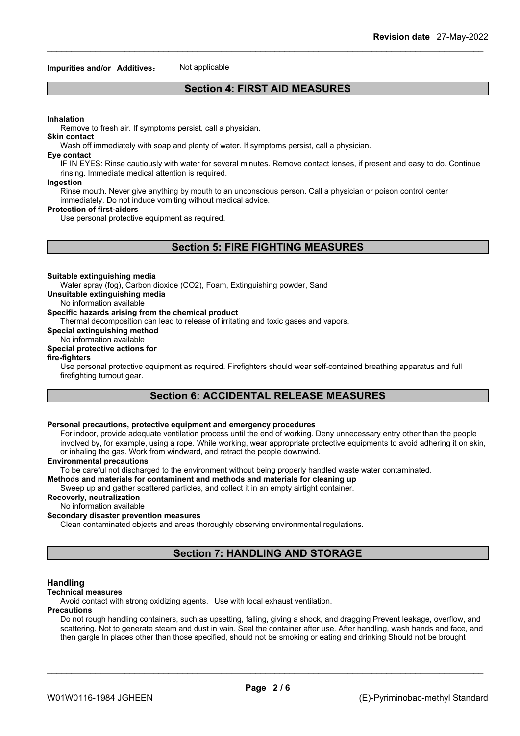#### **Impurities and/or Additives:** Not applicable

## **Section 4: FIRST AID MEASURES**

#### **Inhalation**

Remove to fresh air. If symptoms persist, call a physician.

#### **Skin contact**

Wash off immediately with soap and plenty of water. If symptoms persist, calla physician.

#### **Eye contact**

IF IN EYES: Rinse cautiously with water for several minutes. Remove contact lenses, if present and easy to do. Continue rinsing. Immediate medical attention is required.

#### **Ingestion**

Rinse mouth. Never give anything by mouth to an unconscious person. Call a physician or poison control center immediately. Do not induce vomiting without medical advice.

#### **Protection of first-aiders**

Use personal protective equipment as required.

## **Section 5: FIRE FIGHTING MEASURES**

#### **Suitable extinguishing media**

Water spray (fog), Carbon dioxide (CO2), Foam, Extinguishing powder, Sand

**Unsuitable extinguishing media**

### No information available

### **Specific hazards arising from the chemical product**

Thermal decomposition can lead to release of irritating and toxic gases and vapors.

**Special extinguishing method**

## No information available

## **Special protective actions for**

#### **fire-fighters**

Use personal protective equipment as required.Firefighters should wear self-contained breathing apparatus and full firefighting turnout gear.

## **Section 6: ACCIDENTAL RELEASE MEASURES**

#### **Personal precautions, protective equipment and emergency procedures**

For indoor, provide adequate ventilation process until the end of working. Deny unnecessary entry other than the people involved by, for example, using a rope. While working, wear appropriate protective equipments to avoid adhering it on skin, or inhaling the gas. Work from windward, and retract the people downwind.

#### **Environmental precautions**

To be careful not discharged to the environment without being properly handled waste water contaminated.

## **Methods and materials for contaminent and methods and materials for cleaning up**

Sweep up and gather scattered particles, and collect it in an empty airtight container.

**Recoverly, neutralization**

## No information available

## **Secondary disaster prevention measures**

Clean contaminated objects and areas thoroughly observing environmental regulations.

## **Section 7: HANDLING AND STORAGE**

#### **Handling**

#### **Technical measures**

Avoid contact with strong oxidizing agents. Use with local exhaust ventilation.

#### **Precautions**

Do not rough handling containers, such as upsetting, falling, giving a shock, and dragging Prevent leakage, overflow, and scattering. Not to generate steam and dust in vain. Seal the container after use. After handling, wash hands and face, and then gargle In places other than those specified, should not be smoking or eating and drinking Should not be brought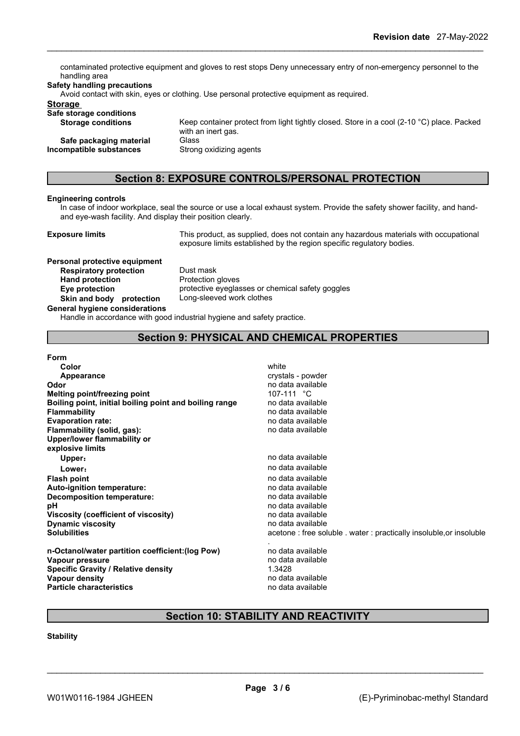contaminated protective equipment and gloves to rest stops Deny unnecessary entry of non-emergency personnel to the handling area

#### **Safety handling precautions**

Avoid contact with skin, eyes or clothing. Use personal protective equipment as required.

with an inert gas.

## **Storage**

**Safe storage conditions Storage conditions** Keep container protect from light tightly closed. Store in a cool (2-10 °C) place. Packed

**Safe packaging material** Glass **Incompatible substances** Strong oxidizing agents

## **Section 8: EXPOSURE CONTROLS/PERSONAL PROTECTION**

#### **Engineering controls**

In case of indoor workplace, seal the source or use a local exhaust system. Provide the safety shower facility, and handand eye-wash facility. And display their position clearly.

**Exposure limits** This product, as supplied, does not contain any hazardous materials with occupational exposure limits established by the region specific regulatory bodies.

## **Personal protective equipment Respiratory protection** Dust mask **Hand protection** Protection gloves **Skin** and body protection

**Eye protection** protective eyeglasses or chemical safety goggles<br> **Skin and body protection** Long-sleeved work clothes

#### **General hygiene considerations**

Handle in accordance with good industrial hygiene and safety practice.

## **Section 9: PHYSICAL AND CHEMICAL PROPERTIES**

| <b>Form</b>                                            |                                                                    |
|--------------------------------------------------------|--------------------------------------------------------------------|
| Color                                                  | white                                                              |
| Appearance                                             | crystals - powder                                                  |
| Odor                                                   | no data available                                                  |
| Melting point/freezing point                           | 107-111 °C                                                         |
| Boiling point, initial boiling point and boiling range | no data available                                                  |
| <b>Flammability</b>                                    | no data available                                                  |
| <b>Evaporation rate:</b>                               | no data available                                                  |
| Flammability (solid, gas):                             | no data available                                                  |
| Upper/lower flammability or                            |                                                                    |
| explosive limits                                       |                                                                    |
| Upper:                                                 | no data available                                                  |
| Lower:                                                 | no data available                                                  |
| <b>Flash point</b>                                     | no data available                                                  |
| Auto-ignition temperature:                             | no data available                                                  |
| Decomposition temperature:                             | no data available                                                  |
| рH                                                     | no data available                                                  |
| Viscosity (coefficient of viscosity)                   | no data available                                                  |
| <b>Dynamic viscosity</b>                               | no data available                                                  |
| <b>Solubilities</b>                                    | acetone: free soluble . water: practically insoluble, or insoluble |
|                                                        |                                                                    |
| n-Octanol/water partition coefficient: (log Pow)       | no data available                                                  |
| Vapour pressure                                        | no data available                                                  |
| <b>Specific Gravity / Relative density</b>             | 1.3428                                                             |
| Vapour density                                         | no data available                                                  |
| <b>Particle characteristics</b>                        | no data available                                                  |

## **Section 10: STABILITY AND REACTIVITY**

## **Stability**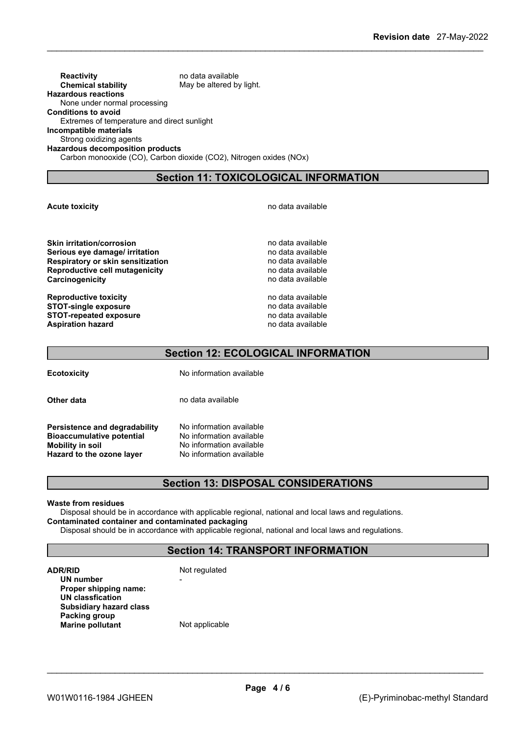**Reactivity no data available Chemical stability** May be altered by light. **Hazardous reactions** None under normal processing **Conditions to avoid** Extremes of temperature and direct sunlight **Incompatible materials** Strong oxidizing agents **Hazardous decomposition products** Carbon monooxide (CO), Carbon dioxide (CO2), Nitrogen oxides (NOx)

**Section 11: TOXICOLOGICAL INFORMATION**

#### **Acute toxicity Acute toxicity has a constant and a set of the set of the set of the set of the set of the set of the set of the set of the set of the set of the set of the set of the set of the set of the set of the**

**Skin irritation/corrosion no data available Serious** eye damage/ irritation **by the contract of the contract of the Serious** no data available **Respiratory or skin sensitization**<br> **Reproductive cell mutagenicity**<br> **Reproductive cell mutagenicity**<br> **Reproductive cell mutagenicity Reproductive cell mutagenicity Carcinogenicity Carcinogenicity Carcinogenicity Carcinogenicity Carcinogenicity** 

**Reproductive toxicity no data available** no data available **STOT-single exposure**<br> **STOT-repeated exposure**<br> **STOT-repeated exposure**<br> **STOT-repeated exposure STOT-repeated exposure**<br> **Aspiration hazard**<br> **Aspiration hazard**<br> **Aspiration hazard Aspiration hazard** 

## **Section 12: ECOLOGICAL INFORMATION**

**Ecotoxicity** No information available

**Other data** no data available

**Persistence and degradability** No information available<br>**Rioaccumulative potential** No information available **Bioaccumulative potential Mobility in soil**<br> **Hazard to the ozone laver** Mo information available **Hazard** to the ozone layer

## **Section 13: DISPOSAL CONSIDERATIONS**

#### **Waste from residues**

Disposal should be in accordance with applicable regional, national and local laws and regulations. **Contaminated container and contaminated packaging**

Disposal should be in accordance with applicable regional, national and local laws and regulations.

## **Section 14: TRANSPORT INFORMATION**

**ADR/RID** Not regulated

**UN number** - **Proper shipping name: UN classfication Subsidiary hazard class Packing group**<br> **Marine pollutant Example 2018 Marine pollutant Example 2018 Contained 2019 Contained 2019 Contained 2019 Contained 2019 Contained 2019 Contained 2019 Contained 2019 Containe Marine** pollutant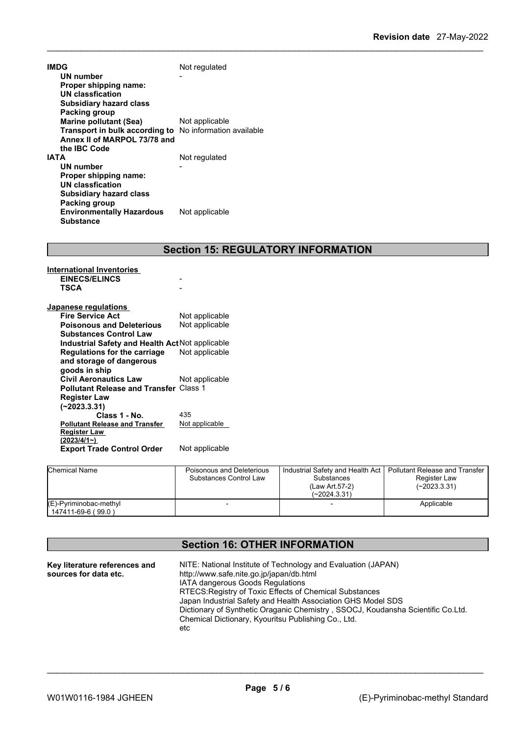| IMDG                             | Not regulated            |
|----------------------------------|--------------------------|
| UN number                        |                          |
| Proper shipping name:            |                          |
| UN classfication                 |                          |
| <b>Subsidiary hazard class</b>   |                          |
| Packing group                    |                          |
| Marine pollutant (Sea)           | Not applicable           |
| Transport in bulk according to   | No information available |
| Annex II of MARPOL 73/78 and     |                          |
| the IBC Code                     |                          |
| IATA                             | Not regulated            |
| UN number                        |                          |
| Proper shipping name:            |                          |
| UN classfication                 |                          |
| <b>Subsidiary hazard class</b>   |                          |
| Packing group                    |                          |
| <b>Environmentally Hazardous</b> | Not applicable           |
| <b>Substance</b>                 |                          |

## **Section 15: REGULATORY INFORMATION**

| <b>International Inventories</b>                |                |
|-------------------------------------------------|----------------|
| <b>EINECS/ELINCS</b>                            |                |
| TSCA                                            |                |
|                                                 |                |
| Japanese regulations                            |                |
| <b>Fire Service Act</b>                         | Not applicable |
| <b>Poisonous and Deleterious</b>                | Not applicable |
| <b>Substances Control Law</b>                   |                |
| Industrial Safety and Health Act Not applicable |                |
| Regulations for the carriage                    | Not applicable |
| and storage of dangerous                        |                |
| goods in ship                                   |                |
| <b>Civil Aeronautics Law</b>                    | Not applicable |
| <b>Pollutant Release and Transfer Class 1</b>   |                |
| <b>Register Law</b>                             |                |
| $(-2023.3.31)$                                  |                |
| Class 1 - No.                                   | 435            |
| <b>Pollutant Release and Transfer</b>           | Not applicable |
| <b>Register Law</b>                             |                |
| (2023/4/1~)                                     |                |
| <b>Export Trade Control Order</b>               | Not applicable |
|                                                 |                |

| <b>Chemical Name</b>                            | Poisonous and Deleterious<br>Substances Control Law | Industrial Safety and Health Act   Pollutant Release and Transfer<br>Substances<br>(Law Art.57-2)<br>(~2024.3.31) | Register Law<br>$(-2023.3.31)$ |
|-------------------------------------------------|-----------------------------------------------------|-------------------------------------------------------------------------------------------------------------------|--------------------------------|
| $(E)$ -Pyriminobac-methyl<br>147411-69-6 (99.0) |                                                     |                                                                                                                   | Applicable                     |

## **Section 16: OTHER INFORMATION**

| Key literature references and | NITE: National Institute of Technology and Evaluation (JAPAN)                   |
|-------------------------------|---------------------------------------------------------------------------------|
| sources for data etc.         | http://www.safe.nite.go.jp/japan/db.html                                        |
|                               | <b>IATA dangerous Goods Regulations</b>                                         |
|                               | RTECS: Registry of Toxic Effects of Chemical Substances                         |
|                               | Japan Industrial Safety and Health Association GHS Model SDS                    |
|                               | Dictionary of Synthetic Oraganic Chemistry, SSOCJ, Koudansha Scientific Co.Ltd. |
|                               | Chemical Dictionary, Kyouritsu Publishing Co., Ltd.                             |
|                               | etc                                                                             |
|                               |                                                                                 |